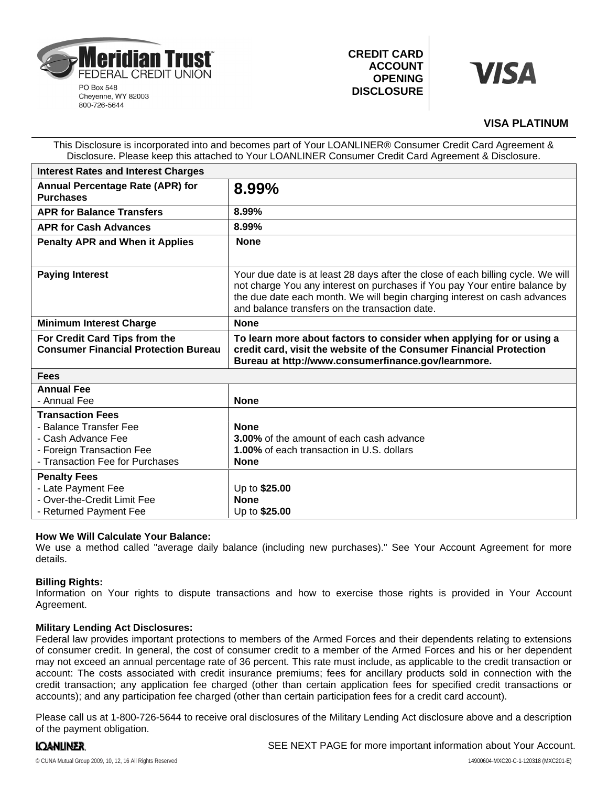

**CREDIT CARD ACCOUNT OPENING DISCLOSURE**



# **VISA PLATINUM**

This Disclosure is incorporated into and becomes part of Your LOANLINER® Consumer Credit Card Agreement & Disclosure. Please keep this attached to Your LOANLINER Consumer Credit Card Agreement & Disclosure.

| <b>Interest Rates and Interest Charges</b>                                                                                              |                                                                                                                                                                                                                                                                                               |
|-----------------------------------------------------------------------------------------------------------------------------------------|-----------------------------------------------------------------------------------------------------------------------------------------------------------------------------------------------------------------------------------------------------------------------------------------------|
| Annual Percentage Rate (APR) for<br><b>Purchases</b>                                                                                    | 8.99%                                                                                                                                                                                                                                                                                         |
| <b>APR for Balance Transfers</b>                                                                                                        | 8.99%                                                                                                                                                                                                                                                                                         |
| <b>APR for Cash Advances</b>                                                                                                            | 8.99%                                                                                                                                                                                                                                                                                         |
| <b>Penalty APR and When it Applies</b>                                                                                                  | <b>None</b>                                                                                                                                                                                                                                                                                   |
| <b>Paying Interest</b>                                                                                                                  | Your due date is at least 28 days after the close of each billing cycle. We will<br>not charge You any interest on purchases if You pay Your entire balance by<br>the due date each month. We will begin charging interest on cash advances<br>and balance transfers on the transaction date. |
| <b>Minimum Interest Charge</b>                                                                                                          | <b>None</b>                                                                                                                                                                                                                                                                                   |
| For Credit Card Tips from the<br><b>Consumer Financial Protection Bureau</b>                                                            | To learn more about factors to consider when applying for or using a<br>credit card, visit the website of the Consumer Financial Protection<br>Bureau at http://www.consumerfinance.gov/learnmore.                                                                                            |
| <b>Fees</b>                                                                                                                             |                                                                                                                                                                                                                                                                                               |
| <b>Annual Fee</b><br>- Annual Fee                                                                                                       | <b>None</b>                                                                                                                                                                                                                                                                                   |
| <b>Transaction Fees</b><br>- Balance Transfer Fee<br>- Cash Advance Fee<br>- Foreign Transaction Fee<br>- Transaction Fee for Purchases | <b>None</b><br><b>3.00%</b> of the amount of each cash advance<br><b>1.00%</b> of each transaction in U.S. dollars<br><b>None</b>                                                                                                                                                             |
| <b>Penalty Fees</b><br>- Late Payment Fee<br>- Over-the-Credit Limit Fee<br>- Returned Payment Fee                                      | Up to \$25.00<br><b>None</b><br>Up to \$25.00                                                                                                                                                                                                                                                 |

# **How We Will Calculate Your Balance:**

We use a method called "average daily balance (including new purchases)." See Your Account Agreement for more details.

# **Billing Rights:**

Information on Your rights to dispute transactions and how to exercise those rights is provided in Your Account Agreement.

# **Military Lending Act Disclosures:**

Federal law provides important protections to members of the Armed Forces and their dependents relating to extensions of consumer credit. In general, the cost of consumer credit to a member of the Armed Forces and his or her dependent may not exceed an annual percentage rate of 36 percent. This rate must include, as applicable to the credit transaction or account: The costs associated with credit insurance premiums; fees for ancillary products sold in connection with the credit transaction; any application fee charged (other than certain application fees for specified credit transactions or accounts); and any participation fee charged (other than certain participation fees for a credit card account).

Please call us at 1-800-726-5644 to receive oral disclosures of the Military Lending Act disclosure above and a description of the payment obligation.

# **IQANLINER**